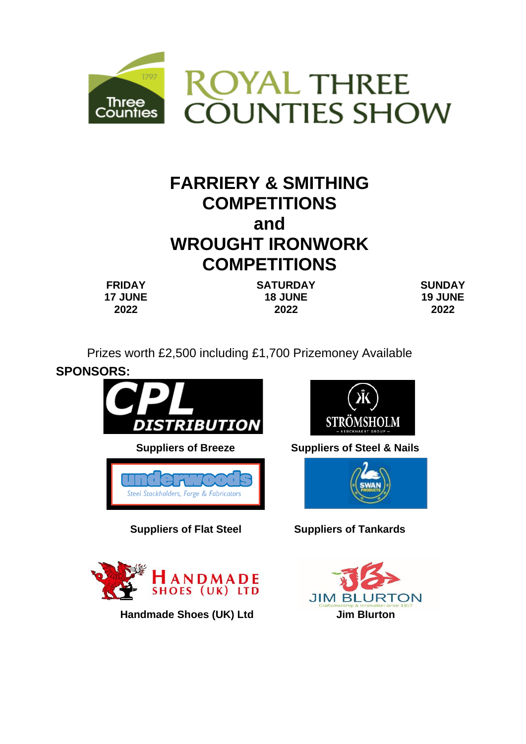

# **FARRIERY & SMITHING COMPETITIONS and WROUGHT IRONWORK COMPETITIONS**

**FRIDAY 17 JUNE 2022**

**SATURDAY 18 JUNE 2022**

**SUNDAY 19 JUNE 2022**

Prizes worth £2,500 including £1,700 Prizemoney Available



**Handmade Shoes (UK) Ltd Jim Blurton** 

**SHOES (UK) LTD** 

RTON

**JIM BL**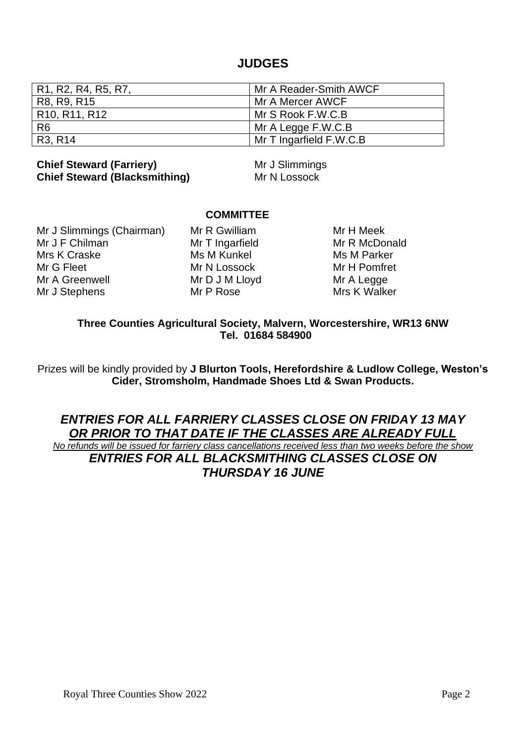## **JUDGES**

| R1, R2, R4, R5, R7,                                 | Mr A Reader-Smith AWCF  |
|-----------------------------------------------------|-------------------------|
| R8, R9, R15                                         | Mr A Mercer AWCF        |
| R <sub>10</sub> , R <sub>11</sub> , R <sub>12</sub> | Mr S Rook F.W.C.B       |
| R <sub>6</sub>                                      | Mr A Legge F.W.C.B      |
| R3, R14                                             | Mr T Ingarfield F.W.C.B |

## **Chief Steward (Farriery)** Mr J Slimmings **Chief Steward (Blacksmithing)** Mr N Lossock

## **COMMITTEE**

Mr J Slimmings (Chairman) Mr R Gwilliam Mr H Meek<br>Mr J F Chilman Mr T Ingarfield Mr R McDou Mrs K Craske Ms M Kunkel Ms M Ms M Parker Mr G Fleet Mr N Lossock Mr M H Pomfret Mr A Greenwell Mr D J M Lloyd Mr A Legge Mr J Stephens Mr P Rose Mrs K Walker

Mr T Ingarfield Mr R McDonald

**Three Counties Agricultural Society, Malvern, Worcestershire, WR13 6NW Tel. 01684 584900** 

Prizes will be kindly provided by **J Blurton Tools, Herefordshire & Ludlow College, Weston's Cider, Stromsholm, Handmade Shoes Ltd & Swan Products.**

## *ENTRIES FOR ALL FARRIERY CLASSES CLOSE ON FRIDAY 13 MAY OR PRIOR TO THAT DATE IF THE CLASSES ARE ALREADY FULL*

*No refunds will be issued for farriery class cancellations received less than two weeks before the show ENTRIES FOR ALL BLACKSMITHING CLASSES CLOSE ON THURSDAY 16 JUNE*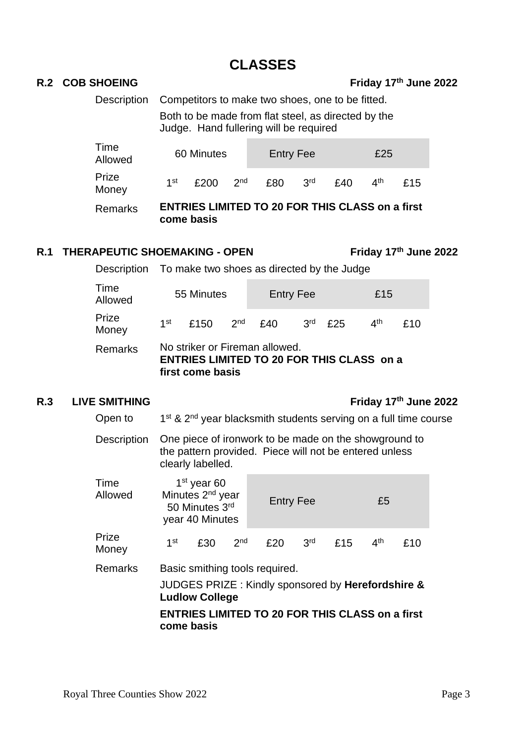# **CLASSES**

Description Competitors to make two shoes, one to be fitted.

Both to be made from flat steel, as directed by the Judge. Hand fullering will be required

| Time<br>Allowed | 60 Minutes |                                                                      |                 | <b>Entry Fee</b> |                 |     | £25             |     |
|-----------------|------------|----------------------------------------------------------------------|-----------------|------------------|-----------------|-----|-----------------|-----|
| Prize<br>Money  | 1st        | £200                                                                 | 2 <sub>nd</sub> | £80              | 3 <sup>rd</sup> | £40 | 4 <sup>th</sup> | £15 |
| Remarks         |            | <b>ENTRIES LIMITED TO 20 FOR THIS CLASS on a first</b><br>come basis |                 |                  |                 |     |                 |     |

## **R.1 THERAPEUTIC SHOEMAKING - OPEN Friday 17th June 2022**

Description To make two shoes as directed by the Judge

| <b>Remarks</b>  |            | No striker or Fireman allowed.<br><b>ENTRIES LIMITED TO 20 FOR THIS CLASS on a</b><br>first come basis |  |                  |                 |     |                                |     |  |
|-----------------|------------|--------------------------------------------------------------------------------------------------------|--|------------------|-----------------|-----|--------------------------------|-----|--|
| Prize<br>Money  | 1st i      | £150 $2nd$                                                                                             |  | £40              | 3 <sup>rd</sup> | £25 | $\mathbf{\Lambda}^{\text{th}}$ | f10 |  |
| Time<br>Allowed | 55 Minutes |                                                                                                        |  | <b>Entry Fee</b> |                 |     | £15                            |     |  |

## **R.3 LIVE SMITHING Friday 17th June 2022**

Open to  $1<sup>st</sup>$  &  $2<sup>nd</sup>$  year blacksmith students serving on a full time course

Description One piece of ironwork to be made on the showground to the pattern provided. Piece will not be entered unless clearly labelled.

| Time<br>Allowed | $1st$ year 60<br>Minutes 2 <sup>nd</sup> year<br>50 Minutes 3rd<br>year 40 Minutes                                                                                                   |     |                 | <b>Entry Fee</b> |                 |     | £5              |     |  |
|-----------------|--------------------------------------------------------------------------------------------------------------------------------------------------------------------------------------|-----|-----------------|------------------|-----------------|-----|-----------------|-----|--|
| Prize<br>Money  | 1 <sup>st</sup>                                                                                                                                                                      | £30 | 2 <sub>nd</sub> | £20              | 3 <sup>rd</sup> | £15 | 4 <sup>th</sup> | £10 |  |
| Remarks         | Basic smithing tools required.<br>JUDGES PRIZE: Kindly sponsored by Herefordshire &<br><b>Ludlow College</b><br><b>ENTRIES LIMITED TO 20 FOR THIS CLASS on a first</b><br>come basis |     |                 |                  |                 |     |                 |     |  |

## **R.2 COB SHOEING Friday 17th June 2022**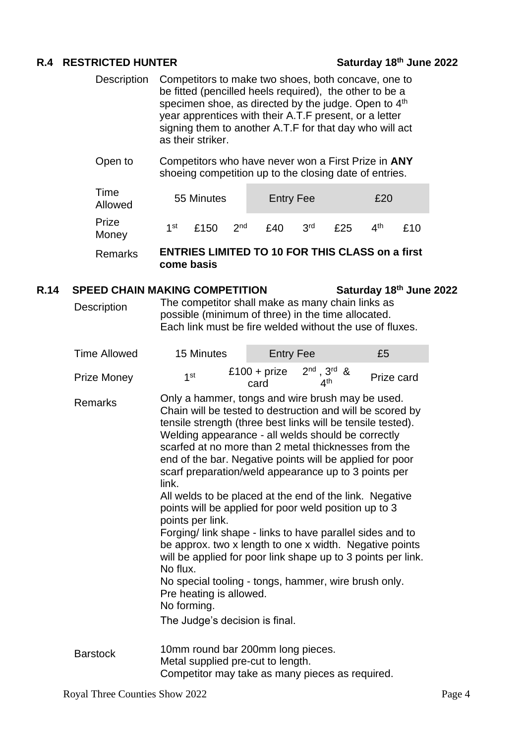## **R.4 RESTRICTED HUNTER Saturday 18th June 2022**

- Description Competitors to make two shoes, both concave, one to be fitted (pencilled heels required), the other to be a specimen shoe, as directed by the judge. Open to 4<sup>th</sup> year apprentices with their A.T.F present, or a letter signing them to another A.T.F for that day who will act as their striker.
- Open to Competitors who have never won a First Prize in **ANY** shoeing competition up to the closing date of entries.

| Time<br>Allowed |     | 55 Minutes |                 |     | <b>Entry Fee</b> |     |                                | £20 |  |  |
|-----------------|-----|------------|-----------------|-----|------------------|-----|--------------------------------|-----|--|--|
| Prize<br>Money  | 1st | £150       | 2 <sup>nd</sup> | £40 | 3 <sup>rd</sup>  | £25 | $\mathbf{\Lambda}^{\text{th}}$ | f10 |  |  |
|                 |     |            |                 |     |                  |     |                                | --  |  |  |

Remarks **ENTRIES LIMITED TO 10 FOR THIS CLASS on a first come basis**

### **R.14 SPEED CHAIN MAKING COMPETITION** Saturday 18<sup>th</sup> June 2022

Description The competitor shall make as many chain links as possible (minimum of three) in the time allocated. Each link must be fire welded without the use of fluxes.

| Time Allowed       | 15 Minutes                                                                                                                                                                                                                                                                                                                                                                                                                                                                                                                                                                                                                                                                                                                                                                                                                                                                                              | <b>Entry Fee</b>     |                                          | £5         |
|--------------------|---------------------------------------------------------------------------------------------------------------------------------------------------------------------------------------------------------------------------------------------------------------------------------------------------------------------------------------------------------------------------------------------------------------------------------------------------------------------------------------------------------------------------------------------------------------------------------------------------------------------------------------------------------------------------------------------------------------------------------------------------------------------------------------------------------------------------------------------------------------------------------------------------------|----------------------|------------------------------------------|------------|
| <b>Prize Money</b> | 1 <sup>st</sup>                                                                                                                                                                                                                                                                                                                                                                                                                                                                                                                                                                                                                                                                                                                                                                                                                                                                                         | £100 + prize<br>card | $2^{nd}$ , $3^{rd}$ &<br>4 <sup>th</sup> | Prize card |
| <b>Remarks</b>     | Only a hammer, tongs and wire brush may be used.<br>Chain will be tested to destruction and will be scored by<br>tensile strength (three best links will be tensile tested).<br>Welding appearance - all welds should be correctly<br>scarfed at no more than 2 metal thicknesses from the<br>end of the bar. Negative points will be applied for poor<br>scarf preparation/weld appearance up to 3 points per<br>link.<br>All welds to be placed at the end of the link. Negative<br>points will be applied for poor weld position up to 3<br>points per link.<br>Forging/ link shape - links to have parallel sides and to<br>be approx. two x length to one x width. Negative points<br>will be applied for poor link shape up to 3 points per link.<br>No flux.<br>No special tooling - tongs, hammer, wire brush only.<br>Pre heating is allowed.<br>No forming.<br>The Judge's decision is final. |                      |                                          |            |
| <b>Barstock</b>    | 10mm round bar 200mm long pieces.<br>Metal supplied pre-cut to length.<br>Competitor may take as many pieces as required.                                                                                                                                                                                                                                                                                                                                                                                                                                                                                                                                                                                                                                                                                                                                                                               |                      |                                          |            |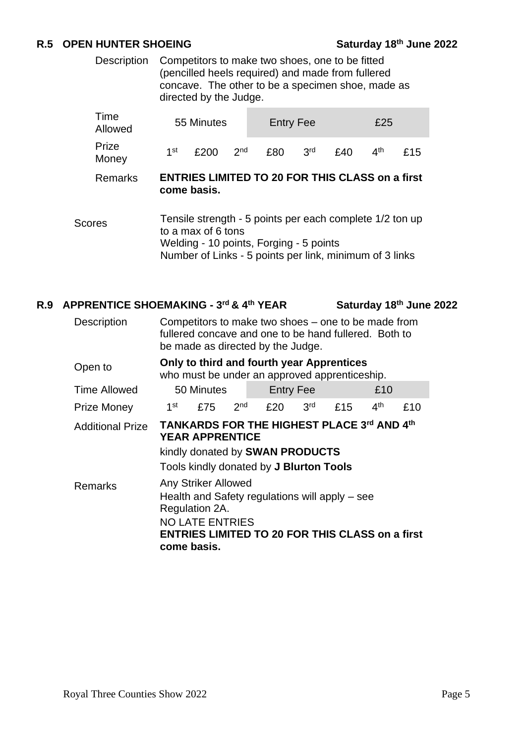## **R.5 OPEN HUNTER SHOEING** Saturday 18<sup>th</sup> June 2022

Description Competitors to make two shoes, one to be fitted (pencilled heels required) and made from fullered concave. The other to be a specimen shoe, made as directed by the Judge.

| Time<br>Allowed |                                                                       | 55 Minutes         |                 |                                                                                                                                                                | <b>Entry Fee</b> |     |                 | £25 |  |
|-----------------|-----------------------------------------------------------------------|--------------------|-----------------|----------------------------------------------------------------------------------------------------------------------------------------------------------------|------------------|-----|-----------------|-----|--|
| Prize<br>Money  | 1 <sup>st</sup>                                                       | £200               | 2 <sub>nd</sub> | £80                                                                                                                                                            | 3 <sup>rd</sup>  | £40 | 4 <sup>th</sup> | £15 |  |
| <b>Remarks</b>  | <b>ENTRIES LIMITED TO 20 FOR THIS CLASS on a first</b><br>come basis. |                    |                 |                                                                                                                                                                |                  |     |                 |     |  |
| Scores          |                                                                       | to a max of 6 tons |                 | Tensile strength - 5 points per each complete 1/2 ton up<br>Welding - 10 points, Forging - 5 points<br>Number of Links - 5 points per link, minimum of 3 links |                  |     |                 |     |  |

### **R.9 APPRENTICE SHOEMAKING - 3 rd & 4th YEAR Saturday 18th June 2022**

| <b>Description</b>      | Competitors to make two shoes – one to be made from<br>fullered concave and one to be hand fullered. Both to<br>be made as directed by the Judge.                                          |     |                 |                  |                 |     |                 |     |  |
|-------------------------|--------------------------------------------------------------------------------------------------------------------------------------------------------------------------------------------|-----|-----------------|------------------|-----------------|-----|-----------------|-----|--|
| Open to                 | Only to third and fourth year Apprentices<br>who must be under an approved apprenticeship.                                                                                                 |     |                 |                  |                 |     |                 |     |  |
| <b>Time Allowed</b>     | 50 Minutes                                                                                                                                                                                 |     |                 | <b>Entry Fee</b> |                 |     | £10             |     |  |
| <b>Prize Money</b>      | 1 <sup>st</sup>                                                                                                                                                                            | £75 | 2 <sup>nd</sup> | £20              | 3 <sup>rd</sup> | £15 | 4 <sup>th</sup> | £10 |  |
| <b>Additional Prize</b> | <b>TANKARDS FOR THE HIGHEST PLACE 3rd AND 4th</b><br><b>YEAR APPRENTICE</b><br>kindly donated by SWAN PRODUCTS<br>Tools kindly donated by J Blurton Tools                                  |     |                 |                  |                 |     |                 |     |  |
| Remarks                 | Any Striker Allowed<br>Health and Safety regulations will apply - see<br>Regulation 2A.<br><b>NO LATE ENTRIES</b><br><b>ENTRIES LIMITED TO 20 FOR THIS CLASS on a first</b><br>come basis. |     |                 |                  |                 |     |                 |     |  |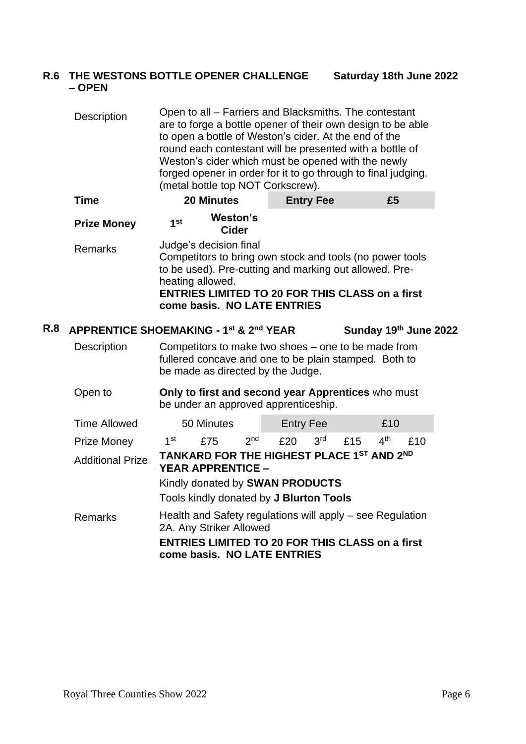### **R.6 THE WESTONS BOTTLE OPENER CHALLENGE – OPEN Saturday 18th June 2022**

Description Open to all – Farriers and Blacksmiths. The contestant are to forge a bottle opener of their own design to be able to open a bottle of Weston's cider. At the end of the round each contestant will be presented with a bottle of Weston's cider which must be opened with the newly forged opener in order for it to go through to final judging. (metal bottle top NOT Corkscrew).

|     | Time               | <b>20 Minutes</b>                                                                                                                                                                                                                                         | <b>Entry Fee</b> | £5                    |  |  |  |  |
|-----|--------------------|-----------------------------------------------------------------------------------------------------------------------------------------------------------------------------------------------------------------------------------------------------------|------------------|-----------------------|--|--|--|--|
|     | <b>Prize Money</b> | Weston's<br>1 <sup>st</sup><br><b>Cider</b>                                                                                                                                                                                                               |                  |                       |  |  |  |  |
|     | <b>Remarks</b>     | Judge's decision final<br>Competitors to bring own stock and tools (no power tools<br>to be used). Pre-cutting and marking out allowed. Pre-<br>heating allowed.<br><b>ENTRIES LIMITED TO 20 FOR THIS CLASS on a first</b><br>come basis. NO LATE ENTRIES |                  |                       |  |  |  |  |
| R.8 |                    | <b>APPRENTICE SHOEMAKING - 1st &amp; 2nd YEAR</b>                                                                                                                                                                                                         |                  | Sunday 19th June 2022 |  |  |  |  |
|     | <b>Description</b> | Competitors to make two shoes – one to be made from<br>fullered concave and one to be plain stamped. Both to<br>be made as directed by the Judge.                                                                                                         |                  |                       |  |  |  |  |

Open to **Only to first and second year Apprentices** who must be under an approved apprenticeship.

| <b>Time Allowed</b>     | 50 Minutes                                                                            |                                                                       |                 | <b>Entry Fee</b> |                 |     | £10             |     |  |  |
|-------------------------|---------------------------------------------------------------------------------------|-----------------------------------------------------------------------|-----------------|------------------|-----------------|-----|-----------------|-----|--|--|
| <b>Prize Money</b>      | 1st                                                                                   | £75                                                                   | 2 <sub>nd</sub> | £20              | 3 <sup>rd</sup> | £15 | 4 <sup>th</sup> | £10 |  |  |
| <b>Additional Prize</b> |                                                                                       | TANKARD FOR THE HIGHEST PLACE 1ST AND 2ND<br><b>YEAR APPRENTICE -</b> |                 |                  |                 |     |                 |     |  |  |
|                         | Kindly donated by SWAN PRODUCTS                                                       |                                                                       |                 |                  |                 |     |                 |     |  |  |
|                         |                                                                                       | Tools kindly donated by J Blurton Tools                               |                 |                  |                 |     |                 |     |  |  |
| <b>Remarks</b>          | Health and Safety regulations will apply – see Regulation<br>2A. Any Striker Allowed  |                                                                       |                 |                  |                 |     |                 |     |  |  |
|                         | <b>ENTRIES LIMITED TO 20 FOR THIS CLASS on a first</b><br>come basis. NO LATE ENTRIES |                                                                       |                 |                  |                 |     |                 |     |  |  |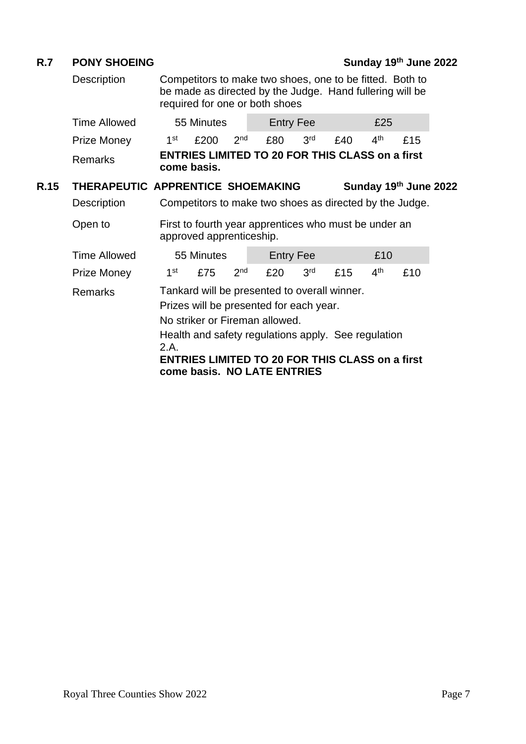## **R.7 PONY SHOEING Sunday 19th June 2022**

Description Competitors to make two shoes, one to be fitted. Both to be made as directed by the Judge. Hand fullering will be required for one or both shoes a.

|                                                                                               | <b>Time Allowed</b>               |                 | 55 Minutes               |                 | <b>Entry Fee</b>                                        |                 |     | £25             |                       |  |
|-----------------------------------------------------------------------------------------------|-----------------------------------|-----------------|--------------------------|-----------------|---------------------------------------------------------|-----------------|-----|-----------------|-----------------------|--|
|                                                                                               | <b>Prize Money</b>                | 1 <sup>st</sup> | £200                     | 2 <sub>nd</sub> | £80                                                     | 3 <sup>rd</sup> | £40 | 4 <sup>th</sup> | £15                   |  |
|                                                                                               | <b>Remarks</b>                    |                 | come basis.              |                 | <b>ENTRIES LIMITED TO 20 FOR THIS CLASS on a first</b>  |                 |     |                 |                       |  |
| R.15                                                                                          | THERAPEUTIC APPRENTICE SHOEMAKING |                 |                          |                 |                                                         |                 |     |                 | Sunday 19th June 2022 |  |
|                                                                                               | Description                       |                 |                          |                 | Competitors to make two shoes as directed by the Judge. |                 |     |                 |                       |  |
|                                                                                               | Open to                           |                 | approved apprenticeship. |                 | First to fourth year apprentices who must be under an   |                 |     |                 |                       |  |
|                                                                                               | <b>Time Allowed</b>               |                 | 55 Minutes               |                 | <b>Entry Fee</b>                                        |                 |     | £10             |                       |  |
|                                                                                               | <b>Prize Money</b>                | 1 <sup>st</sup> | £75                      | 2 <sub>nd</sub> | £20                                                     | 3 <sup>rd</sup> | £15 | 4 <sup>th</sup> | £10                   |  |
|                                                                                               | <b>Remarks</b>                    |                 |                          |                 | Tankard will be presented to overall winner.            |                 |     |                 |                       |  |
|                                                                                               |                                   |                 |                          |                 | Prizes will be presented for each year.                 |                 |     |                 |                       |  |
|                                                                                               |                                   |                 |                          |                 | No striker or Fireman allowed.                          |                 |     |                 |                       |  |
|                                                                                               |                                   |                 |                          |                 | Health and safety regulations apply. See regulation     |                 |     |                 |                       |  |
| 2.A.<br><b>ENTRIES LIMITED TO 20 FOR THIS CLASS on a first</b><br>come basis. NO LATE ENTRIES |                                   |                 |                          |                 |                                                         |                 |     |                 |                       |  |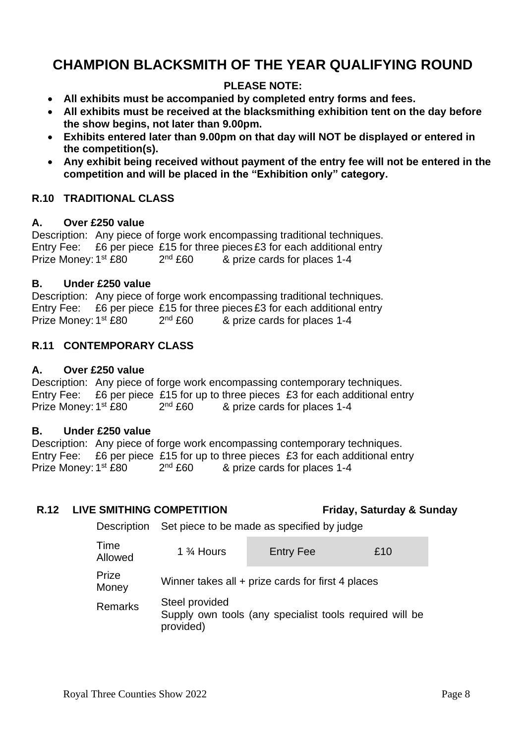# **CHAMPION BLACKSMITH OF THE YEAR QUALIFYING ROUND**

## **PLEASE NOTE:**

- **All exhibits must be accompanied by completed entry forms and fees.**
- **All exhibits must be received at the blacksmithing exhibition tent on the day before the show begins, not later than 9.00pm.**
- **Exhibits entered later than 9.00pm on that day will NOT be displayed or entered in the competition(s).**
- **Any exhibit being received without payment of the entry fee will not be entered in the competition and will be placed in the "Exhibition only" category.**

## **R.10 TRADITIONAL CLASS**

## **A. Over £250 value**

Description: Any piece of forge work encompassing traditional techniques. Entry Fee:  $£6$  per piece £15 for three pieces £3 for each additional entry Prize Money: 1<sup>st</sup> £80 2  $2<sup>nd</sup>$  £60 & prize cards for places 1-4

## **B. Under £250 value**

Description: Any piece of forge work encompassing traditional techniques. Entry Fee: £6 per piece £15 for three pieces £3 for each additional entry Prize Money: 1<sup>st</sup> £80 2  $2<sup>nd</sup>$  £60 & prize cards for places 1-4

## **R.11 CONTEMPORARY CLASS**

## **A. Over £250 value**

Description: Any piece of forge work encompassing contemporary techniques. Entry Fee: £6 per piece £15 for up to three pieces £3 for each additional entry Prize Money: 1<sup>st</sup> £80 2  $2<sup>nd</sup>$  £60 & prize cards for places 1-4

## **B. Under £250 value**

Description: Any piece of forge work encompassing contemporary techniques. Entry Fee: £6 per piece £15 for up to three pieces £3 for each additional entry Prize Money: 1<sup>st</sup> £80 2  $2<sup>nd</sup>$  £60 & prize cards for places 1-4

## **R.12 LIVE SMITHING COMPETITION Friday, Saturday & Sunday**

Description Set piece to be made as specified by judge

| Time<br>Allowed | 1 $\frac{3}{4}$ Hours       | <b>Entry Fee</b>                                        | £10 |  |  |  |  |  |  |
|-----------------|-----------------------------|---------------------------------------------------------|-----|--|--|--|--|--|--|
| Prize<br>Money  |                             | Winner takes all + prize cards for first 4 places       |     |  |  |  |  |  |  |
| <b>Remarks</b>  | Steel provided<br>provided) | Supply own tools (any specialist tools required will be |     |  |  |  |  |  |  |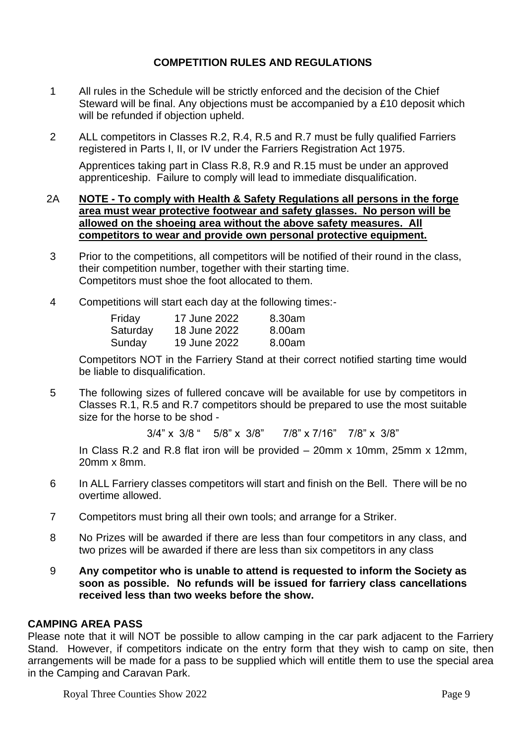## **COMPETITION RULES AND REGULATIONS**

- 1 All rules in the Schedule will be strictly enforced and the decision of the Chief Steward will be final. Any objections must be accompanied by a £10 deposit which will be refunded if objection upheld.
- 2 ALL competitors in Classes R.2, R.4, R.5 and R.7 must be fully qualified Farriers registered in Parts I, II, or IV under the Farriers Registration Act 1975.

Apprentices taking part in Class R.8, R.9 and R.15 must be under an approved apprenticeship. Failure to comply will lead to immediate disqualification.

## 2A **NOTE - To comply with Health & Safety Regulations all persons in the forge area must wear protective footwear and safety glasses. No person will be allowed on the shoeing area without the above safety measures. All competitors to wear and provide own personal protective equipment.**

- 3 Prior to the competitions, all competitors will be notified of their round in the class, their competition number, together with their starting time. Competitors must shoe the foot allocated to them.
- 4 Competitions will start each day at the following times:-

| Friday   | 17 June 2022 | 8.30am |
|----------|--------------|--------|
| Saturday | 18 June 2022 | 8.00am |
| Sunday   | 19 June 2022 | 8.00am |

Competitors NOT in the Farriery Stand at their correct notified starting time would be liable to disqualification.

5 The following sizes of fullered concave will be available for use by competitors in Classes R.1, R.5 and R.7 competitors should be prepared to use the most suitable size for the horse to be shod -

3/4" x 3/8 " 5/8" x 3/8" 7/8" x 7/16" 7/8" x 3/8"

In Class R.2 and R.8 flat iron will be provided – 20mm x 10mm, 25mm x 12mm, 20mm x 8mm.

- 6 In ALL Farriery classes competitors will start and finish on the Bell. There will be no overtime allowed.
- 7 Competitors must bring all their own tools; and arrange for a Striker.
- 8 No Prizes will be awarded if there are less than four competitors in any class, and two prizes will be awarded if there are less than six competitors in any class
- 9 **Any competitor who is unable to attend is requested to inform the Society as soon as possible. No refunds will be issued for farriery class cancellations received less than two weeks before the show.**

## **CAMPING AREA PASS**

Please note that it will NOT be possible to allow camping in the car park adjacent to the Farriery Stand. However, if competitors indicate on the entry form that they wish to camp on site, then arrangements will be made for a pass to be supplied which will entitle them to use the special area in the Camping and Caravan Park.

Royal Three Counties Show 2022 Page 9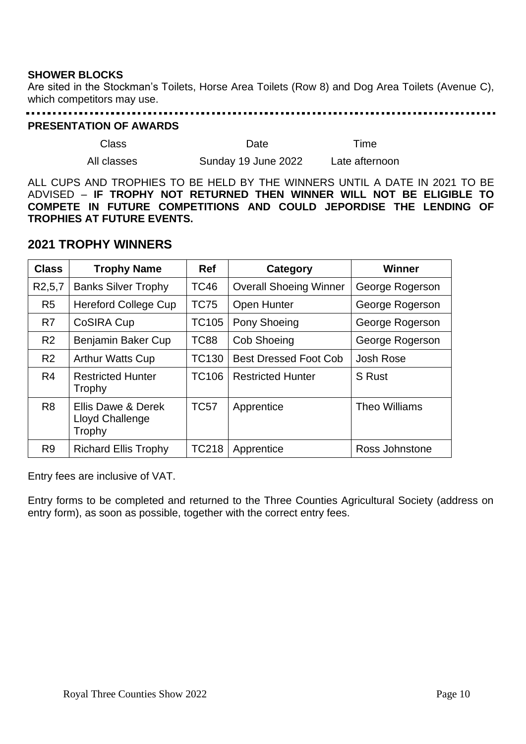## **SHOWER BLOCKS**

Are sited in the Stockman's Toilets, Horse Area Toilets (Row 8) and Dog Area Toilets (Avenue C), which competitors may use.

## 

## **PRESENTATION OF AWARDS**

| Class       | Date                | Time           |
|-------------|---------------------|----------------|
| All classes | Sunday 19 June 2022 | Late afternoon |

ALL CUPS AND TROPHIES TO BE HELD BY THE WINNERS UNTIL A DATE IN 2021 TO BE ADVISED – **IF TROPHY NOT RETURNED THEN WINNER WILL NOT BE ELIGIBLE TO COMPETE IN FUTURE COMPETITIONS AND COULD JEPORDISE THE LENDING OF TROPHIES AT FUTURE EVENTS.**

## **2021 TROPHY WINNERS**

| <b>Class</b>          | <b>Trophy Name</b>                              | <b>Ref</b>   | Category                      | <b>Winner</b>   |
|-----------------------|-------------------------------------------------|--------------|-------------------------------|-----------------|
| R <sub>2</sub> , 5, 7 | <b>Banks Silver Trophy</b>                      | <b>TC46</b>  | <b>Overall Shoeing Winner</b> | George Rogerson |
| R <sub>5</sub>        | <b>Hereford College Cup</b>                     | <b>TC75</b>  | <b>Open Hunter</b>            | George Rogerson |
| R <sub>7</sub>        | CoSIRA Cup                                      | <b>TC105</b> | Pony Shoeing                  | George Rogerson |
| R <sub>2</sub>        | Benjamin Baker Cup                              | <b>TC88</b>  | <b>Cob Shoeing</b>            | George Rogerson |
| R <sub>2</sub>        | <b>Arthur Watts Cup</b>                         | <b>TC130</b> | <b>Best Dressed Foot Cob</b>  | Josh Rose       |
| R <sub>4</sub>        | <b>Restricted Hunter</b><br>Trophy              | <b>TC106</b> | <b>Restricted Hunter</b>      | <b>S</b> Rust   |
| R <sub>8</sub>        | Ellis Dawe & Derek<br>Lloyd Challenge<br>Trophy | <b>TC57</b>  | Apprentice                    | Theo Williams   |
| R <sub>9</sub>        | <b>Richard Ellis Trophy</b>                     | <b>TC218</b> | Apprentice                    | Ross Johnstone  |

Entry fees are inclusive of VAT.

Entry forms to be completed and returned to the Three Counties Agricultural Society (address on entry form), as soon as possible, together with the correct entry fees.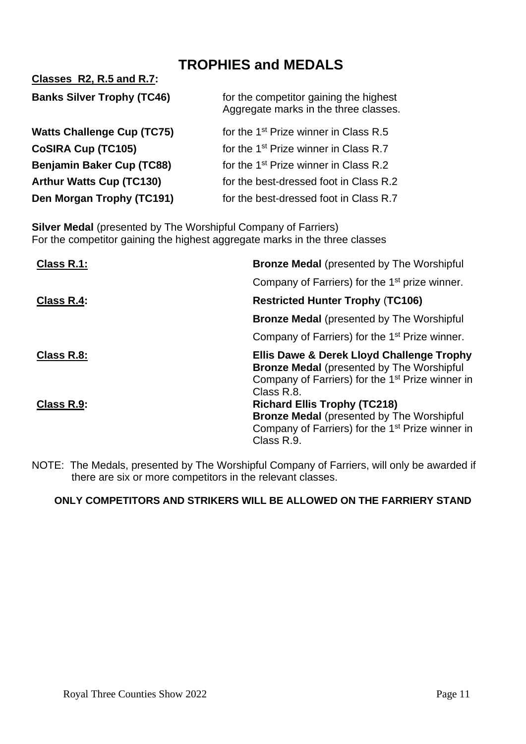# **TROPHIES and MEDALS**

| <b>Banks Silver Trophy (TC46)</b> | for the competitor gaining the highest<br>Aggregate marks in the three classes. |
|-----------------------------------|---------------------------------------------------------------------------------|
| <b>Watts Challenge Cup (TC75)</b> | for the 1 <sup>st</sup> Prize winner in Class R.5                               |
| CoSIRA Cup (TC105)                | for the 1 <sup>st</sup> Prize winner in Class R.7                               |
| <b>Benjamin Baker Cup (TC88)</b>  | for the 1 <sup>st</sup> Prize winner in Class R.2                               |
| <b>Arthur Watts Cup (TC130)</b>   | for the best-dressed foot in Class R.2                                          |
| Den Morgan Trophy (TC191)         | for the best-dressed foot in Class R.7                                          |

**Classes R2, R.5 and R.7:**

**Silver Medal** (presented by The Worshipful Company of Farriers) For the competitor gaining the highest aggregate marks in the three classes

| Class R.1: | <b>Bronze Medal</b> (presented by The Worshipful                                                                                                                            |
|------------|-----------------------------------------------------------------------------------------------------------------------------------------------------------------------------|
|            | Company of Farriers) for the 1 <sup>st</sup> prize winner.                                                                                                                  |
| Class R.4: | <b>Restricted Hunter Trophy (TC106)</b>                                                                                                                                     |
|            | <b>Bronze Medal</b> (presented by The Worshipful                                                                                                                            |
|            | Company of Farriers) for the 1 <sup>st</sup> Prize winner.                                                                                                                  |
| Class R.8: | Ellis Dawe & Derek Lloyd Challenge Trophy<br><b>Bronze Medal (presented by The Worshipful</b><br>Company of Farriers) for the 1 <sup>st</sup> Prize winner in<br>Class R.8. |
| Class R.9: | <b>Richard Ellis Trophy (TC218)</b><br><b>Bronze Medal (presented by The Worshipful</b><br>Company of Farriers) for the 1 <sup>st</sup> Prize winner in<br>Class R.9.       |

NOTE: The Medals, presented by The Worshipful Company of Farriers, will only be awarded if there are six or more competitors in the relevant classes.

## **ONLY COMPETITORS AND STRIKERS WILL BE ALLOWED ON THE FARRIERY STAND**